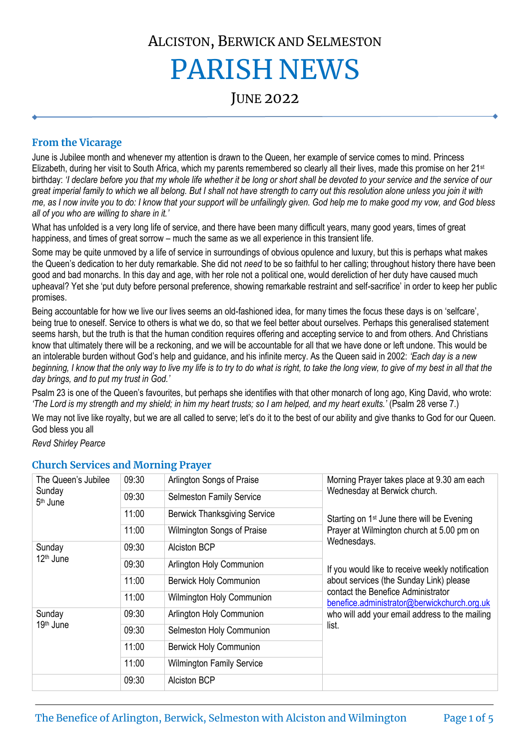# ALCISTON, BERWICK AND SELMESTON PARISH NEWS

JUNE 2022

# **From the Vicarage**

June is Jubilee month and whenever my attention is drawn to the Queen, her example of service comes to mind. Princess Elizabeth, during her visit to South Africa, which my parents remembered so clearly all their lives, made this promise on her 21<sup>st</sup> birthday: *'I declare before you that my whole life whether it be long or short shall be devoted to your service and the service of our great imperial family to which we all belong. But I shall not have strength to carry out this resolution alone unless you join it with me, as I now invite you to do: I know that your support will be unfailingly given. God help me to make good my vow, and God bless all of you who are willing to share in it.'*

What has unfolded is a very long life of service, and there have been many difficult years, many good years, times of great happiness, and times of great sorrow – much the same as we all experience in this transient life.

Some may be quite unmoved by a life of service in surroundings of obvious opulence and luxury, but this is perhaps what makes the Queen's dedication to her duty remarkable. She did not *need* to be so faithful to her calling; throughout history there have been good and bad monarchs. In this day and age, with her role not a political one, would dereliction of her duty have caused much upheaval? Yet she 'put duty before personal preference, showing remarkable restraint and self-sacrifice' in order to keep her public promises.

Being accountable for how we live our lives seems an old-fashioned idea, for many times the focus these days is on 'selfcare', being true to oneself. Service to others is what we do, so that we feel better about ourselves. Perhaps this generalised statement seems harsh, but the truth is that the human condition requires offering and accepting service to and from others. And Christians know that ultimately there will be a reckoning, and we will be accountable for all that we have done or left undone. This would be an intolerable burden without God's help and guidance, and his infinite mercy. As the Queen said in 2002: *'Each day is a new beginning, I know that the only way to live my life is to try to do what is right, to take the long view, to give of my best in all that the day brings, and to put my trust in God.'*

Psalm 23 is one of the Queen's favourites, but perhaps she identifies with that other monarch of long ago, King David, who wrote: *'The Lord is my strength and my shield; in him my heart trusts; so I am helped, and my heart exults.'* (Psalm 28 verse 7.)

We may not live like royalty, but we are all called to serve; let's do it to the best of our ability and give thanks to God for our Queen. God bless you all

*Revd Shirley Pearce*

| The Queen's Jubilee<br>Sunday<br>5 <sup>th</sup> June | 09:30 | Arlington Songs of Praise           | Morning Prayer takes place at 9.30 am each<br>Wednesday at Berwick church.<br>Starting on 1 <sup>st</sup> June there will be Evening<br>Prayer at Wilmington church at 5.00 pm on<br>Wednesdays.<br>If you would like to receive weekly notification<br>about services (the Sunday Link) please<br>contact the Benefice Administrator<br>benefice.administrator@berwickchurch.org.uk<br>who will add your email address to the mailing<br>list. |
|-------------------------------------------------------|-------|-------------------------------------|-------------------------------------------------------------------------------------------------------------------------------------------------------------------------------------------------------------------------------------------------------------------------------------------------------------------------------------------------------------------------------------------------------------------------------------------------|
|                                                       | 09:30 | <b>Selmeston Family Service</b>     |                                                                                                                                                                                                                                                                                                                                                                                                                                                 |
|                                                       | 11:00 | <b>Berwick Thanksgiving Service</b> |                                                                                                                                                                                                                                                                                                                                                                                                                                                 |
|                                                       | 11:00 | Wilmington Songs of Praise          |                                                                                                                                                                                                                                                                                                                                                                                                                                                 |
| Sunday<br>$12th$ June                                 | 09:30 | <b>Alciston BCP</b>                 |                                                                                                                                                                                                                                                                                                                                                                                                                                                 |
|                                                       | 09:30 | Arlington Holy Communion            |                                                                                                                                                                                                                                                                                                                                                                                                                                                 |
|                                                       | 11:00 | <b>Berwick Holy Communion</b>       |                                                                                                                                                                                                                                                                                                                                                                                                                                                 |
|                                                       | 11:00 | Wilmington Holy Communion           |                                                                                                                                                                                                                                                                                                                                                                                                                                                 |
| Sunday<br>19 <sup>th</sup> June                       | 09:30 | Arlington Holy Communion            |                                                                                                                                                                                                                                                                                                                                                                                                                                                 |
|                                                       | 09:30 | Selmeston Holy Communion            |                                                                                                                                                                                                                                                                                                                                                                                                                                                 |
|                                                       | 11:00 | <b>Berwick Holy Communion</b>       |                                                                                                                                                                                                                                                                                                                                                                                                                                                 |
|                                                       | 11:00 | <b>Wilmington Family Service</b>    |                                                                                                                                                                                                                                                                                                                                                                                                                                                 |
|                                                       | 09:30 | <b>Alciston BCP</b>                 |                                                                                                                                                                                                                                                                                                                                                                                                                                                 |

## **Church Services and Morning Prayer**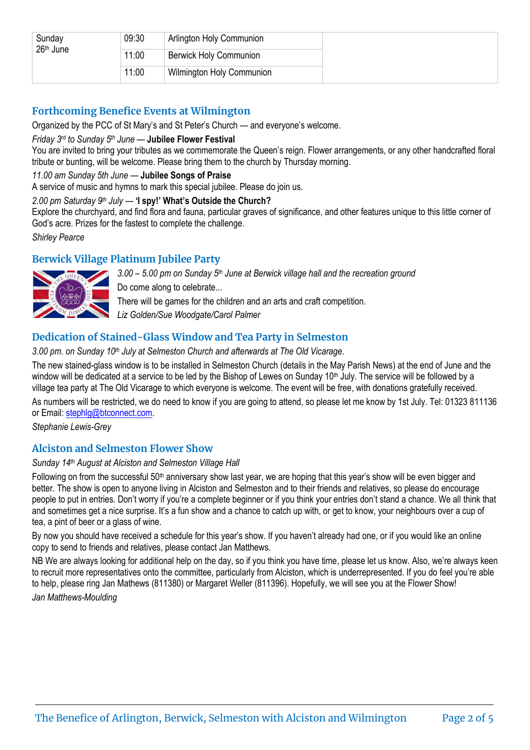| Sunday<br>26 <sup>th</sup> June | 09:30 | Arlington Holy Communion         |  |
|---------------------------------|-------|----------------------------------|--|
|                                 | 11:00 | <b>Berwick Holy Communion</b>    |  |
|                                 | 11:00 | <b>Wilmington Holy Communion</b> |  |

# **Forthcoming Benefice Events at Wilmington**

Organized by the PCC of St Mary's and St Peter's Church — and everyone's welcome.

#### *Friday 3rd to Sunday 5th June* — **Jubilee Flower Festival**

You are invited to bring your tributes as we commemorate the Queen's reign. Flower arrangements, or any other handcrafted floral tribute or bunting, will be welcome. Please bring them to the church by Thursday morning.

#### *11.00 am Sunday 5th June* — **Jubilee Songs of Praise**

A service of music and hymns to mark this special jubilee. Please do join us.

#### *2.00 pm Saturday 9th July* — **'I spy!' What's Outside the Church?**

Explore the churchyard, and find flora and fauna, particular graves of significance, and other features unique to this little corner of God's acre. Prizes for the fastest to complete the challenge.

*Shirley Pearce*

# **Berwick Village Platinum Jubilee Party**



*3.00 – 5.00 pm on Sunday 5th June at Berwick village hall and the recreation ground* Do come along to celebrate... There will be games for the children and an arts and craft competition. *Liz Golden/Sue Woodgate/Carol Palmer*

# **Dedication of Stained-Glass Window and Tea Party in Selmeston**

#### *3.00 pm. on Sunday 10th July at Selmeston Church and afterwards at The Old Vicarage.*

The new stained-glass window is to be installed in Selmeston Church (details in the May Parish News) at the end of June and the window will be dedicated at a service to be led by the Bishop of Lewes on Sunday 10<sup>th</sup> July. The service will be followed by a village tea party at The Old Vicarage to which everyone is welcome. The event will be free, with donations gratefully received.

As numbers will be restricted, we do need to know if you are going to attend, so please let me know by 1st July. Tel: 01323 811136 or Email: [stephlg@btconnect.com.](mailto:stephlg@btconnect.com)

*Stephanie Lewis-Grey*

# **Alciston and Selmeston Flower Show**

#### *Sunday 14th August at Alciston and Selmeston Village Hall*

Following on from the successful 50<sup>th</sup> anniversary show last year, we are hoping that this year's show will be even bigger and better. The show is open to anyone living in Alciston and Selmeston and to their friends and relatives, so please do encourage people to put in entries. Don't worry if you're a complete beginner or if you think your entries don't stand a chance. We all think that and sometimes get a nice surprise. It's a fun show and a chance to catch up with, or get to know, your neighbours over a cup of tea, a pint of beer or a glass of wine.

By now you should have received a schedule for this year's show. If you haven't already had one, or if you would like an online copy to send to friends and relatives, please contact Jan Matthews.

NB We are always looking for additional help on the day, so if you think you have time, please let us know. Also, we're always keen to recruit more representatives onto the committee, particularly from Alciston, which is underrepresented. If you do feel you're able to help, please ring Jan Mathews (811380) or Margaret Weller (811396). Hopefully, we will see you at the Flower Show!

*Jan Matthews-Moulding*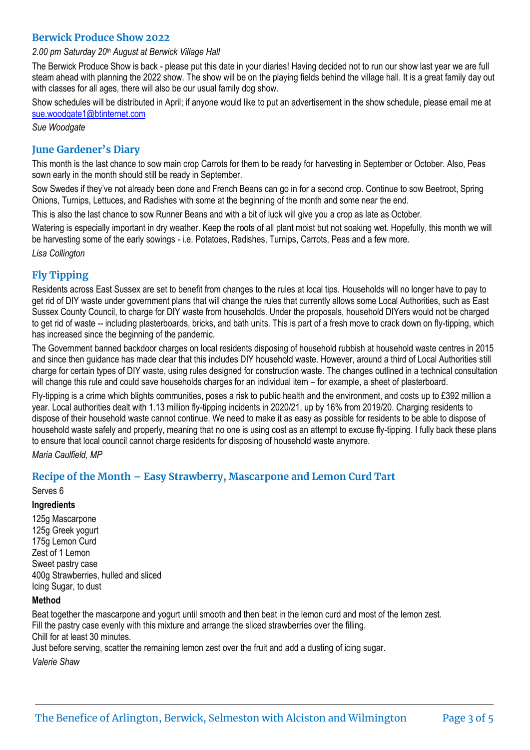## **Berwick Produce Show 2022**

#### *2.00 pm Saturday 20th August at Berwick Village Hall*

The Berwick Produce Show is back - please put this date in your diaries! Having decided not to run our show last year we are full steam ahead with planning the 2022 show. The show will be on the playing fields behind the village hall. It is a great family day out with classes for all ages, there will also be our usual family dog show.

Show schedules will be distributed in April; if anyone would like to put an advertisement in the show schedule, please email me at [sue.woodgate1@btinternet.com](mailto:sue.woodgate1@btinternet.com)

*Sue Woodgate* 

## **June Gardener's Diary**

This month is the last chance to sow main crop Carrots for them to be ready for harvesting in September or October. Also, Peas sown early in the month should still be ready in September.

Sow Swedes if they've not already been done and French Beans can go in for a second crop. Continue to sow Beetroot, Spring Onions, Turnips, Lettuces, and Radishes with some at the beginning of the month and some near the end.

This is also the last chance to sow Runner Beans and with a bit of luck will give you a crop as late as October.

Watering is especially important in dry weather. Keep the roots of all plant moist but not soaking wet. Hopefully, this month we will be harvesting some of the early sowings - i.e. Potatoes, Radishes, Turnips, Carrots, Peas and a few more. *Lisa Collington*

## **Fly Tipping**

Residents across East Sussex are set to benefit from changes to the rules at local tips. Households will no longer have to pay to get rid of DIY waste under government plans that will change the rules that currently allows some Local Authorities, such as East Sussex County Council, to charge for DIY waste from households. Under the proposals, household DIYers would not be charged to get rid of waste -- including plasterboards, bricks, and bath units. This is part of a fresh move to crack down on fly-tipping, which has increased since the beginning of the pandemic.

The Government banned backdoor charges on local residents disposing of household rubbish at household waste centres in 2015 and since then guidance has made clear that this includes DIY household waste. However, around a third of Local Authorities still charge for certain types of DIY waste, using rules designed for construction waste. The changes outlined in a technical consultation will change this rule and could save households charges for an individual item – for example, a sheet of plasterboard.

Fly-tipping is a crime which blights communities, poses a risk to public health and the environment, and costs up to £392 million a year. Local authorities dealt with 1.13 million fly-tipping incidents in 2020/21, up by 16% from 2019/20. Charging residents to dispose of their household waste cannot continue. We need to make it as easy as possible for residents to be able to dispose of household waste safely and properly, meaning that no one is using cost as an attempt to excuse fly-tipping. I fully back these plans to ensure that local council cannot charge residents for disposing of household waste anymore.

*Maria Caulfield, MP*

## **Recipe of the Month – Easy Strawberry, Mascarpone and Lemon Curd Tart**

#### Serves 6

#### **Ingredients**

125g Mascarpone 125g Greek yogurt 175g Lemon Curd Zest of 1 Lemon Sweet pastry case 400g Strawberries, hulled and sliced Icing Sugar, to dust

#### **Method**

Beat together the mascarpone and yogurt until smooth and then beat in the lemon curd and most of the lemon zest. Fill the pastry case evenly with this mixture and arrange the sliced strawberries over the filling. Chill for at least 30 minutes.

Just before serving, scatter the remaining lemon zest over the fruit and add a dusting of icing sugar.

*Valerie Shaw*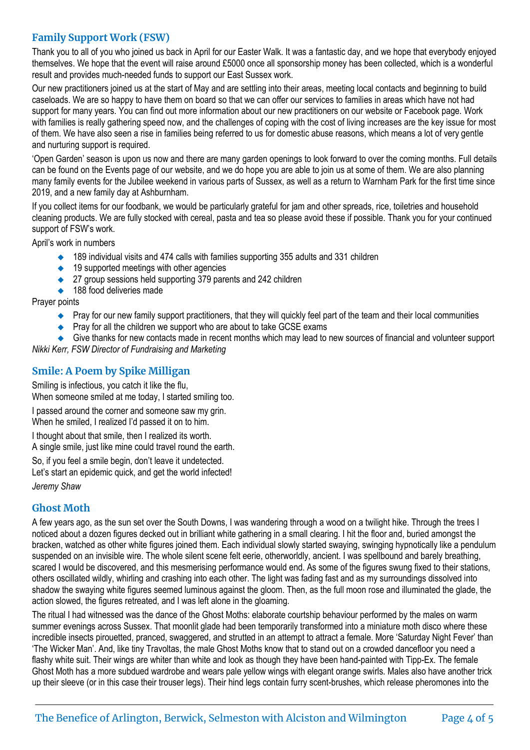# **Family Support Work (FSW)**

Thank you to all of you who joined us back in April for our Easter Walk. It was a fantastic day, and we hope that everybody enjoyed themselves. We hope that the event will raise around £5000 once all sponsorship money has been collected, which is a wonderful result and provides much-needed funds to support our East Sussex work.

Our new practitioners joined us at the start of May and are settling into their areas, meeting local contacts and beginning to build caseloads. We are so happy to have them on board so that we can offer our services to families in areas which have not had support for many years. You can find out more information about our new practitioners on our website or Facebook page. Work with families is really gathering speed now, and the challenges of coping with the cost of living increases are the key issue for most of them. We have also seen a rise in families being referred to us for domestic abuse reasons, which means a lot of very gentle and nurturing support is required.

'Open Garden' season is upon us now and there are many garden openings to look forward to over the coming months. Full details can be found on the Events page of our website, and we do hope you are able to join us at some of them. We are also planning many family events for the Jubilee weekend in various parts of Sussex, as well as a return to Warnham Park for the first time since 2019, and a new family day at Ashburnham.

If you collect items for our foodbank, we would be particularly grateful for jam and other spreads, rice, toiletries and household cleaning products. We are fully stocked with cereal, pasta and tea so please avoid these if possible. Thank you for your continued support of FSW's work.

April's work in numbers

- ◆ 189 individual visits and 474 calls with families supporting 355 adults and 331 children
- ◆ 19 supported meetings with other agencies
- ◆ 27 group sessions held supporting 379 parents and 242 children
- ◆ 188 food deliveries made

Prayer points

- ◆ Pray for our new family support practitioners, that they will quickly feel part of the team and their local communities
- ◆ Pray for all the children we support who are about to take GCSE exams

◆ Give thanks for new contacts made in recent months which may lead to new sources of financial and volunteer support *Nikki Kerr, FSW Director of Fundraising and Marketing*

# **Smile: A Poem by Spike Milligan**

Smiling is infectious, you catch it like the flu,

When someone smiled at me today, I started smiling too.

I passed around the corner and someone saw my grin. When he smiled, I realized I'd passed it on to him.

I thought about that smile, then I realized its worth. A single smile, just like mine could travel round the earth.

So, if you feel a smile begin, don't leave it undetected. Let's start an epidemic quick, and get the world infected!

*Jeremy Shaw*

# **Ghost Moth**

A few years ago, as the sun set over the South Downs, I was wandering through a wood on a twilight hike. Through the trees I noticed about a dozen figures decked out in brilliant white gathering in a small clearing. I hit the floor and, buried amongst the bracken, watched as other white figures joined them. Each individual slowly started swaying, swinging hypnotically like a pendulum suspended on an invisible wire. The whole silent scene felt eerie, otherworldly, ancient. I was spellbound and barely breathing, scared I would be discovered, and this mesmerising performance would end. As some of the figures swung fixed to their stations, others oscillated wildly, whirling and crashing into each other. The light was fading fast and as my surroundings dissolved into shadow the swaying white figures seemed luminous against the gloom. Then, as the full moon rose and illuminated the glade, the action slowed, the figures retreated, and I was left alone in the gloaming.

The ritual I had witnessed was the dance of the Ghost Moths: elaborate courtship behaviour performed by the males on warm summer evenings across Sussex. That moonlit glade had been temporarily transformed into a miniature moth disco where these incredible insects pirouetted, pranced, swaggered, and strutted in an attempt to attract a female. More 'Saturday Night Fever' than 'The Wicker Man'. And, like tiny Travoltas, the male Ghost Moths know that to stand out on a crowded dancefloor you need a flashy white suit. Their wings are whiter than white and look as though they have been hand-painted with Tipp-Ex. The female Ghost Moth has a more subdued wardrobe and wears pale yellow wings with elegant orange swirls. Males also have another trick up their sleeve (or in this case their trouser legs). Their hind legs contain furry scent-brushes, which release pheromones into the